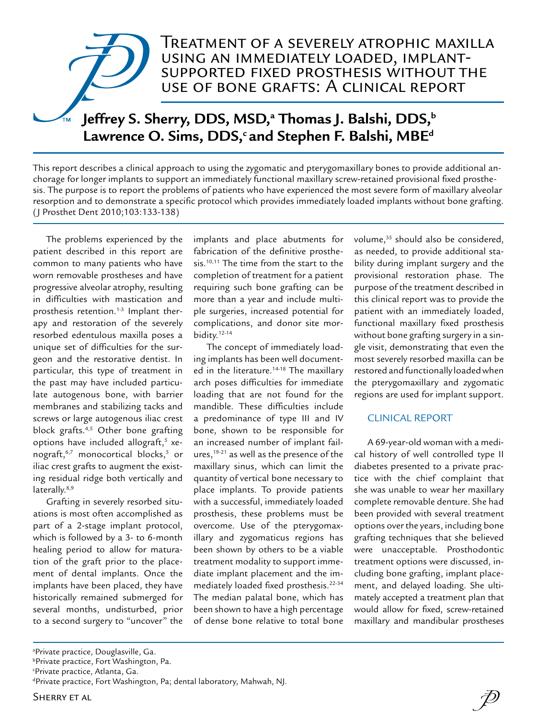

This report describes a clinical approach to using the zygomatic and pterygomaxillary bones to provide additional anchorage for longer implants to support an immediately functional maxillary screw-retained provisional fixed prosthesis. The purpose is to report the problems of patients who have experienced the most severe form of maxillary alveolar resorption and to demonstrate a specific protocol which provides immediately loaded implants without bone grafting. (J Prosthet Dent 2010;103:133-138)

The problems experienced by the patient described in this report are common to many patients who have worn removable prostheses and have progressive alveolar atrophy, resulting in difficulties with mastication and prosthesis retention.<sup>1-3</sup> Implant therapy and restoration of the severely resorbed edentulous maxilla poses a unique set of difficulties for the surgeon and the restorative dentist. In particular, this type of treatment in the past may have included particulate autogenous bone, with barrier membranes and stabilizing tacks and screws or large autogenous iliac crest block grafts.4,5 Other bone grafting options have included allograft, $^5$  xenograft,<sup>6,7</sup> monocortical blocks,<sup>5</sup> or iliac crest grafts to augment the existing residual ridge both vertically and laterally.<sup>8,9</sup>

Grafting in severely resorbed situations is most often accomplished as part of a 2-stage implant protocol, which is followed by a 3- to 6-month healing period to allow for maturation of the graft prior to the placement of dental implants. Once the implants have been placed, they have historically remained submerged for several months, undisturbed, prior to a second surgery to "uncover" the

implants and place abutments for fabrication of the definitive prosthesis.<sup>10,11</sup> The time from the start to the completion of treatment for a patient requiring such bone grafting can be more than a year and include multiple surgeries, increased potential for complications, and donor site morbidity.<sup>12-14</sup>

The concept of immediately loading implants has been well documented in the literature.<sup>14-18</sup> The maxillary arch poses difficulties for immediate loading that are not found for the mandible. These difficulties include a predominance of type III and IV bone, shown to be responsible for an increased number of implant failures,19-21 as well as the presence of the maxillary sinus, which can limit the quantity of vertical bone necessary to place implants. To provide patients with a successful, immediately loaded prosthesis, these problems must be overcome. Use of the pterygomaxillary and zygomaticus regions has been shown by others to be a viable treatment modality to support immediate implant placement and the immediately loaded fixed prosthesis.22-34 The median palatal bone, which has been shown to have a high percentage of dense bone relative to total bone

volume,<sup>35</sup> should also be considered, as needed, to provide additional stability during implant surgery and the provisional restoration phase. The purpose of the treatment described in this clinical report was to provide the patient with an immediately loaded, functional maxillary fixed prosthesis without bone grafting surgery in a single visit, demonstrating that even the most severely resorbed maxilla can be restored and functionally loaded when the pterygomaxillary and zygomatic regions are used for implant support.

## CLINICAL REPORT

A 69-year-old woman with a medical history of well controlled type II diabetes presented to a private practice with the chief complaint that she was unable to wear her maxillary complete removable denture. She had been provided with several treatment options over the years, including bone grafting techniques that she believed were unacceptable. Prosthodontic treatment options were discussed, including bone grafting, implant placement, and delayed loading. She ultimately accepted a treatment plan that would allow for fixed, screw-retained maxillary and mandibular prostheses

bPrivate practice, Fort Washington, Pa. c Private practice, Atlanta, Ga.

dPrivate practice, Fort Washington, Pa; dental laboratory, Mahwah, NJ.

Sherry et al



a Private practice, Douglasville, Ga.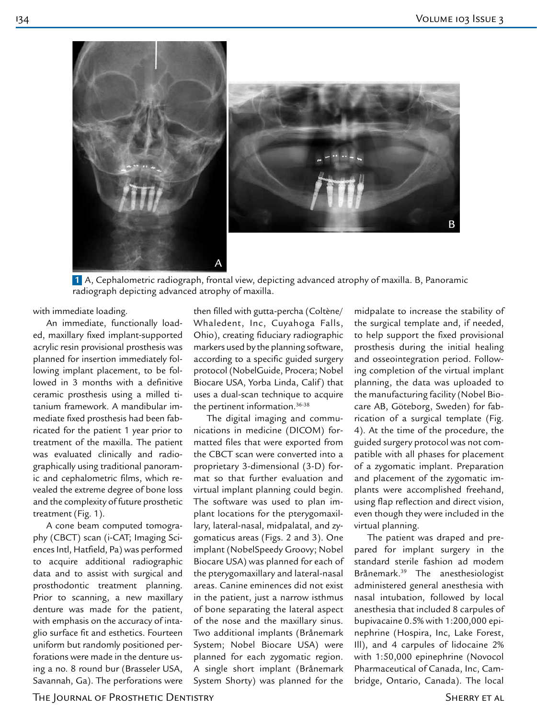

 **1** A, Cephalometric radiograph, frontal view, depicting advanced atrophy of maxilla. B, Panoramic radiograph depicting advanced atrophy of maxilla.

with immediate loading.

An immediate, functionally loaded, maxillary fixed implant-supported acrylic resin provisional prosthesis was planned for insertion immediately following implant placement, to be followed in 3 months with a definitive ceramic prosthesis using a milled titanium framework. A mandibular immediate fixed prosthesis had been fabricated for the patient 1 year prior to treatment of the maxilla. The patient was evaluated clinically and radiographically using traditional panoramic and cephalometric films, which revealed the extreme degree of bone loss and the complexity of future prosthetic treatment (Fig. 1).

A cone beam computed tomography (CBCT) scan (i-CAT; Imaging Sciences Intl, Hatfield, Pa) was performed to acquire additional radiographic data and to assist with surgical and prosthodontic treatment planning. Prior to scanning, a new maxillary denture was made for the patient, with emphasis on the accuracy of intaglio surface fit and esthetics. Fourteen uniform but randomly positioned perforations were made in the denture using a no. 8 round bur (Brasseler USA, Savannah, Ga). The perforations were

then filled with gutta-percha (Coltène/ Whaledent, Inc, Cuyahoga Falls, Ohio), creating fiduciary radiographic markers used by the planning software, according to a specific guided surgery protocol (NobelGuide, Procera; Nobel Biocare USA, Yorba Linda, Calif) that uses a dual-scan technique to acquire the pertinent information.36-38

The digital imaging and communications in medicine (DICOM) formatted files that were exported from the CBCT scan were converted into a proprietary 3-dimensional (3-D) format so that further evaluation and virtual implant planning could begin. The software was used to plan implant locations for the pterygomaxillary, lateral-nasal, midpalatal, and zygomaticus areas (Figs. 2 and 3). One implant (NobelSpeedy Groovy; Nobel Biocare USA) was planned for each of the pterygomaxillary and lateral-nasal areas. Canine eminences did not exist in the patient, just a narrow isthmus of bone separating the lateral aspect of the nose and the maxillary sinus. Two additional implants (Brånemark System; Nobel Biocare USA) were planned for each zygomatic region. A single short implant (Brånemark System Shorty) was planned for the

midpalate to increase the stability of the surgical template and, if needed, to help support the fixed provisional prosthesis during the initial healing and osseointegration period. Following completion of the virtual implant planning, the data was uploaded to the manufacturing facility (Nobel Biocare AB, Göteborg, Sweden) for fabrication of a surgical template (Fig. 4). At the time of the procedure, the guided surgery protocol was not compatible with all phases for placement of a zygomatic implant. Preparation and placement of the zygomatic implants were accomplished freehand, using flap reflection and direct vision, even though they were included in the virtual planning.

The patient was draped and prepared for implant surgery in the standard sterile fashion ad modem Brånemark.39 The anesthesiologist administered general anesthesia with nasal intubation, followed by local anesthesia that included 8 carpules of bupivacaine 0.5% with 1:200,000 epinephrine (Hospira, Inc, Lake Forest, Ill), and 4 carpules of lidocaine 2% with 1:50,000 epinephrine (Novocol Pharmaceutical of Canada, Inc, Cambridge, Ontario, Canada). The local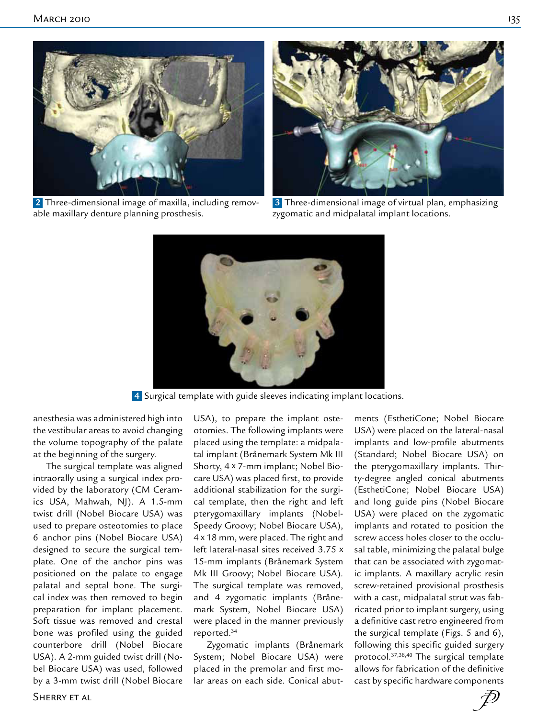

**2** Three-dimensional image of maxilla, including removable maxillary denture planning prosthesis.



 **3** Three-dimensional image of virtual plan, emphasizing zygomatic and midpalatal implant locations.



 **4** Surgical template with guide sleeves indicating implant locations.

anesthesia was administered high into the vestibular areas to avoid changing the volume topography of the palate at the beginning of the surgery.

The surgical template was aligned intraorally using a surgical index provided by the laboratory (CM Ceramics USA, Mahwah, NJ). A 1.5-mm twist drill (Nobel Biocare USA) was used to prepare osteotomies to place 6 anchor pins (Nobel Biocare USA) designed to secure the surgical template. One of the anchor pins was positioned on the palate to engage palatal and septal bone. The surgical index was then removed to begin preparation for implant placement. Soft tissue was removed and crestal bone was profiled using the guided counterbore drill (Nobel Biocare USA). A 2-mm guided twist drill (Nobel Biocare USA) was used, followed by a 3-mm twist drill (Nobel Biocare USA), to prepare the implant osteotomies. The following implants were placed using the template: a midpalatal implant (Brånemark System Mk III Shorty, 4 x 7-mm implant; Nobel Biocare USA) was placed first, to provide additional stabilization for the surgical template, then the right and left pterygomaxillary implants (Nobel-Speedy Groovy; Nobel Biocare USA), 4 x 18 mm, were placed. The right and left lateral-nasal sites received 3.75 x 15-mm implants (Brånemark System Mk III Groovy; Nobel Biocare USA). The surgical template was removed, and 4 zygomatic implants (Brånemark System, Nobel Biocare USA) were placed in the manner previously reported.34

Zygomatic implants (Brånemark System; Nobel Biocare USA) were placed in the premolar and first molar areas on each side. Conical abut-

ments (EsthetiCone; Nobel Biocare USA) were placed on the lateral-nasal implants and low-profile abutments (Standard; Nobel Biocare USA) on the pterygomaxillary implants. Thirty-degree angled conical abutments (EsthetiCone; Nobel Biocare USA) and long guide pins (Nobel Biocare USA) were placed on the zygomatic implants and rotated to position the screw access holes closer to the occlusal table, minimizing the palatal bulge that can be associated with zygomatic implants. A maxillary acrylic resin screw-retained provisional prosthesis with a cast, midpalatal strut was fabricated prior to implant surgery, using a definitive cast retro engineered from the surgical template (Figs. 5 and 6), following this specific guided surgery protocol.37,38,40 The surgical template allows for fabrication of the definitive cast by specific hardware components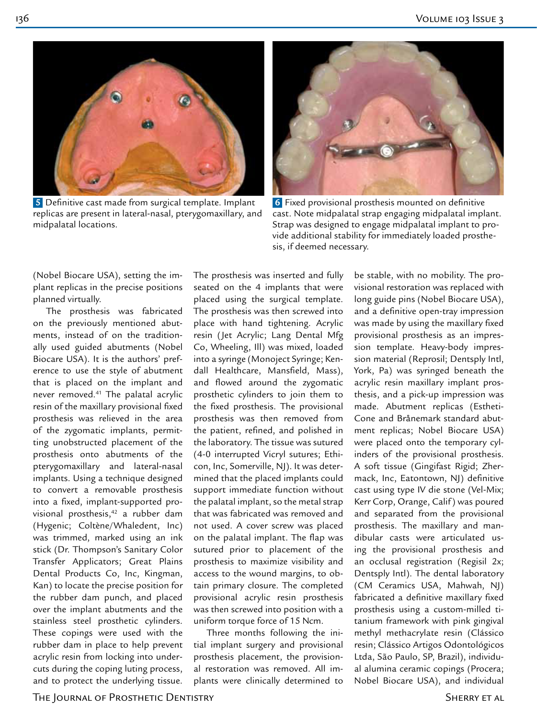

 **5** Definitive cast made from surgical template. Implant replicas are present in lateral-nasal, pterygomaxillary, and midpalatal locations.



 **6** Fixed provisional prosthesis mounted on definitive cast. Note midpalatal strap engaging midpalatal implant. Strap was designed to engage midpalatal implant to provide additional stability for immediately loaded prosthesis, if deemed necessary.

(Nobel Biocare USA), setting the implant replicas in the precise positions planned virtually.

The prosthesis was fabricated on the previously mentioned abutments, instead of on the traditionally used guided abutments (Nobel Biocare USA). It is the authors' preference to use the style of abutment that is placed on the implant and never removed.41 The palatal acrylic resin of the maxillary provisional fixed prosthesis was relieved in the area of the zygomatic implants, permitting unobstructed placement of the prosthesis onto abutments of the pterygomaxillary and lateral-nasal implants. Using a technique designed to convert a removable prosthesis into a fixed, implant-supported provisional prosthesis, $42$  a rubber dam (Hygenic; Coltène/Whaledent, Inc) was trimmed, marked using an ink stick (Dr. Thompson's Sanitary Color Transfer Applicators; Great Plains Dental Products Co, Inc, Kingman, Kan) to locate the precise position for the rubber dam punch, and placed over the implant abutments and the stainless steel prosthetic cylinders. These copings were used with the rubber dam in place to help prevent acrylic resin from locking into undercuts during the coping luting process, and to protect the underlying tissue.

The prosthesis was inserted and fully seated on the 4 implants that were placed using the surgical template. The prosthesis was then screwed into place with hand tightening. Acrylic resin (Jet Acrylic; Lang Dental Mfg Co, Wheeling, Ill) was mixed, loaded into a syringe (Monoject Syringe; Kendall Healthcare, Mansfield, Mass), and flowed around the zygomatic prosthetic cylinders to join them to the fixed prosthesis. The provisional prosthesis was then removed from the patient, refined, and polished in the laboratory. The tissue was sutured (4-0 interrupted Vicryl sutures; Ethicon, Inc, Somerville, NJ). It was determined that the placed implants could support immediate function without the palatal implant, so the metal strap that was fabricated was removed and not used. A cover screw was placed on the palatal implant. The flap was sutured prior to placement of the prosthesis to maximize visibility and access to the wound margins, to obtain primary closure. The completed provisional acrylic resin prosthesis was then screwed into position with a uniform torque force of 15 Ncm.

Three months following the initial implant surgery and provisional prosthesis placement, the provisional restoration was removed. All implants were clinically determined to

be stable, with no mobility. The provisional restoration was replaced with long guide pins (Nobel Biocare USA), and a definitive open-tray impression was made by using the maxillary fixed provisional prosthesis as an impression template. Heavy-body impression material (Reprosil; Dentsply Intl, York, Pa) was syringed beneath the acrylic resin maxillary implant prosthesis, and a pick-up impression was made. Abutment replicas (Estheti-Cone and Brånemark standard abutment replicas; Nobel Biocare USA) were placed onto the temporary cylinders of the provisional prosthesis. A soft tissue (Gingifast Rigid; Zhermack, Inc, Eatontown, NJ) definitive cast using type IV die stone (Vel-Mix; Kerr Corp, Orange, Calif ) was poured and separated from the provisional prosthesis. The maxillary and mandibular casts were articulated using the provisional prosthesis and an occlusal registration (Regisil 2x; Dentsply Intl). The dental laboratory (CM Ceramics USA, Mahwah, NJ) fabricated a definitive maxillary fixed prosthesis using a custom-milled titanium framework with pink gingival methyl methacrylate resin (Clássico resin; Clássico Artigos Odontológicos Ltda, São Paulo, SP, Brazil), individual alumina ceramic copings (Procera; Nobel Biocare USA), and individual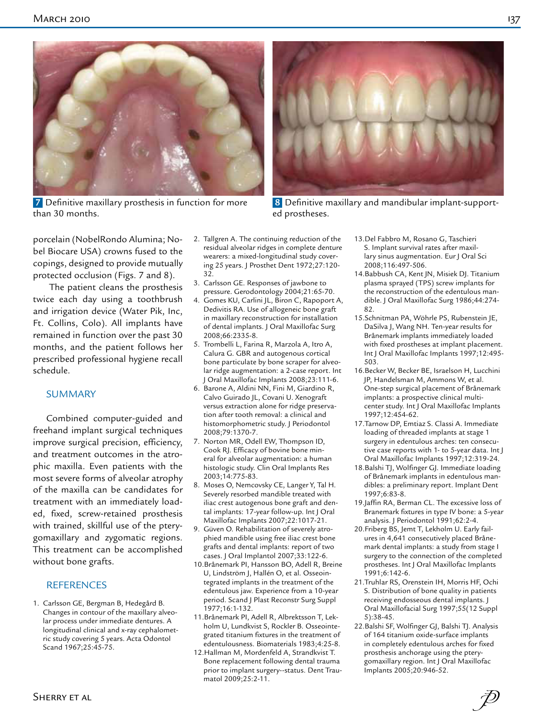

**7** Definitive maxillary prosthesis in function for more than 30 months.



 **8** Definitive maxillary and mandibular implant-supported prostheses.

porcelain (NobelRondo Alumina; Nobel Biocare USA) crowns fused to the copings, designed to provide mutually protected occlusion (Figs. 7 and 8).

 The patient cleans the prosthesis twice each day using a toothbrush and irrigation device (Water Pik, Inc, Ft. Collins, Colo). All implants have remained in function over the past 30 months, and the patient follows her prescribed professional hygiene recall schedule.

## SUMMARY

Combined computer-guided and freehand implant surgical techniques improve surgical precision, efficiency, and treatment outcomes in the atrophic maxilla. Even patients with the most severe forms of alveolar atrophy of the maxilla can be candidates for treatment with an immediately loaded, fixed, screw-retained prosthesis with trained, skillful use of the pterygomaxillary and zygomatic regions. This treatment can be accomplished without bone grafts.

# **REFERENCES**

1. Carlsson GE, Bergman B, Hedegård B. Changes in contour of the maxillary alveolar process under immediate dentures. A longitudinal clinical and x-ray cephalometric study covering 5 years. Acta Odontol Scand 1967;25:45-75.

- 2. Tallgren A. The continuing reduction of the residual alveolar ridges in complete denture wearers: a mixed-longitudinal study covering 25 years. J Prosthet Dent 1972;27:120- 32.
- 3. Carlsson GE. Responses of jawbone to pressure. Gerodontology 2004;21:65-70.
- 4. Gomes KU, Carlini JL, Biron C, Rapoport A, Dedivitis RA. Use of allogeneic bone graft in maxillary reconstruction for installation of dental implants. J Oral Maxillofac Surg 2008;66:2335-8.
- 5. Trombelli L, Farina R, Marzola A, Itro A, Calura G. GBR and autogenous cortical bone particulate by bone scraper for alveolar ridge augmentation: a 2-case report. Int J Oral Maxillofac Implants 2008;23:111-6.
- 6. Barone A, Aldini NN, Fini M, Giardino R, Calvo Guirado JL, Covani U. Xenograft versus extraction alone for ridge preservation after tooth removal: a clinical and histomorphometric study. J Periodontol 2008;79:1370-7.
- 7. Norton MR, Odell EW, Thompson ID, Cook RJ. Efficacy of bovine bone mineral for alveolar augmentation: a human histologic study. Clin Oral Implants Res 2003;14:775-83.
- 8. Moses O, Nemcovsky CE, Langer Y, Tal H. Severely resorbed mandible treated with iliac crest autogenous bone graft and dental implants: 17-year follow-up. Int J Oral Maxillofac Implants 2007;22:1017-21.
- 9. Güven O. Rehabilitation of severely atrophied mandible using free iliac crest bone grafts and dental implants: report of two cases. J Oral Implantol 2007;33:122-6.
- 10.Brånemark PI, Hansson BO, Adell R, Breine U, Lindström J, Hallén O, et al. Osseointegrated implants in the treatment of the edentulous jaw. Experience from a 10-year period. Scand J Plast Reconstr Surg Suppl 1977;16:1-132.
- 11.Brånemark PI, Adell R, Albrektsson T, Lekholm U, Lundkvist S, Rockler B. Osseointegrated titanium fixtures in the treatment of edentulousness. Biomaterials 1983;4:25-8.
- 12.Hallman M, Mordenfeld A, Strandkvist T. Bone replacement following dental trauma prior to implant surgery--status. Dent Traumatol 2009;25:2-11.
- 13.Del Fabbro M, Rosano G, Taschieri S. Implant survival rates after maxillary sinus augmentation. Eur J Oral Sci 2008;116:497-506.
- 14.Babbush CA, Kent JN, Misiek DJ. Titanium plasma sprayed (TPS) screw implants for the reconstruction of the edentulous mandible. J Oral Maxillofac Surg 1986;44:274- 82.
- 15.Schnitman PA, Wöhrle PS, Rubenstein JE, DaSilva J, Wang NH. Ten-year results for Brånemark implants immediately loaded with fixed prostheses at implant placement. Int J Oral Maxillofac Implants 1997;12:495- 503.
- 16.Becker W, Becker BE, Israelson H, Lucchini JP, Handelsman M, Ammons W, et al. One-step surgical placement of Brånemark implants: a prospective clinical multicenter study. Int J Oral Maxillofac Implants 1997;12:454-62.
- 17.Tarnow DP, Emtiaz S. Classi A. Immediate loading of threaded implants at stage 1 surgery in edentulous arches: ten consecutive case reports with 1- to 5-year data. Int J Oral Maxillofac Implants 1997;12:319-24.
- 18.Balshi TJ, Wolfinger GJ. Immediate loading of Brånemark implants in edentulous mandibles: a preliminary report. Implant Dent 1997;6:83-8.
- 19.Jaffin RA, Berman CL. The excessive loss of Branemark fixtures in type IV bone: a 5-year analysis. J Periodontol 1991;62:2-4.
- 20.Friberg BS, Jemt T, Lekholm U. Early failures in 4,641 consecutively placed Brånemark dental implants: a study from stage I surgery to the connection of the completed prostheses. Int J Oral Maxillofac Implants 1991;6:142-6.
- 21.Truhlar RS, Orenstein IH, Morris HF, Ochi S. Distribution of bone quality in patients receiving endosseous dental implants. J Oral Maxillofacial Surg 1997;55(12 Suppl 5):38-45.
- 22.Balshi SF, Wolfinger GJ, Balshi TJ. Analysis of 164 titanium oxide-surface implants in completely edentulous arches for fixed prosthesis anchorage using the pterygomaxillary region. Int J Oral Maxillofac Implants 2005;20:946-52.